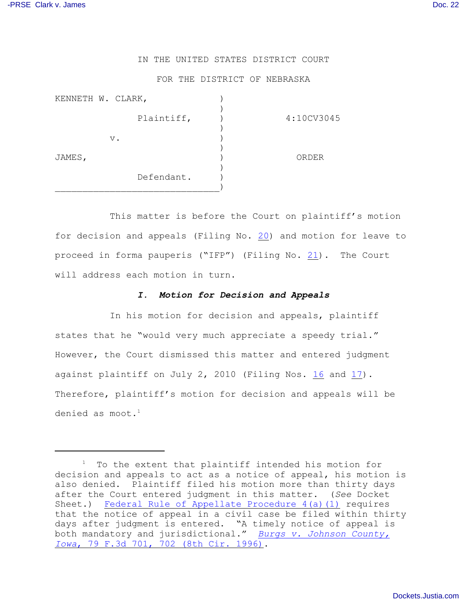## IN THE UNITED STATES DISTRICT COURT

## FOR THE DISTRICT OF NEBRASKA

| KENNETH W. CLARK, |            |            |
|-------------------|------------|------------|
|                   | Plaintiff, | 4:10CV3045 |
|                   |            |            |
|                   | $V$ .      |            |
| JAMES,            |            | ORDER      |
|                   | Defendant. |            |
|                   |            |            |

This matter is before the Court on plaintiff's motion for decision and appeals (Filing No. [20](https://ecf.ned.uscourts.gov/doc1/11312085083)) and motion for leave to proceed in forma pauperis ("IFP") (Filing No. [21](https://ecf.ned.uscourts.gov/doc1/11312085098)). The Court will address each motion in turn.

## *I. Motion for Decision and Appeals*

In his motion for decision and appeals, plaintiff states that he "would very much appreciate a speedy trial." However, the Court dismissed this matter and entered judgment against plaintiff on July 2, 2010 (Filing Nos. [16](https://ecf.ned.uscourts.gov/doc1/11312051567) and [17](https://ecf.ned.uscourts.gov/doc1/11312051860)). Therefore, plaintiff's motion for decision and appeals will be denied as moot. $<sup>1</sup>$ </sup>

 $1$  To the extent that plaintiff intended his motion for decision and appeals to act as a notice of appeal, his motion is also denied. Plaintiff filed his motion more than thirty days after the Court entered judgment in this matter. (*See* Docket Sheet.) [Federal Rule of Appellate Procedure 4\(a\)\(1\)](http://web2.westlaw.com/find/default.wl?rs=WLW9.11&ifm=NotSet&fn=_top&sv=Split&pbc=79B9A055&cite=Fed.+R.+App.+Pro.+4&vr=2.0&rp=%2ffind%2fdefault.wl&mt=26) requires that the notice of appeal in a civil case be filed within thirty days after judgment is entered. "A timely notice of appeal is both mandatory and jurisdictional." *[Burgs v. Johnson County,](http://web2.westlaw.com/find/default.wl?tf=-1&rs=WLW9.11&referencepositiontype=S&serialnum=1996078209&fn=_top&sv=Split&referenceposition=702&pbc=79B9A055&tc=-1&ordoc=2019719877&findtype=Y&db=506&vr=2.0&rp=%2ffind%2fdefault.wl&mt=26&RLT=CLID_FQRLT38309321) Iowa*[, 79 F.3d 701, 702 \(8th Cir. 1996\)](http://web2.westlaw.com/find/default.wl?tf=-1&rs=WLW9.11&referencepositiontype=S&serialnum=1996078209&fn=_top&sv=Split&referenceposition=702&pbc=79B9A055&tc=-1&ordoc=2019719877&findtype=Y&db=506&vr=2.0&rp=%2ffind%2fdefault.wl&mt=26&RLT=CLID_FQRLT38309321).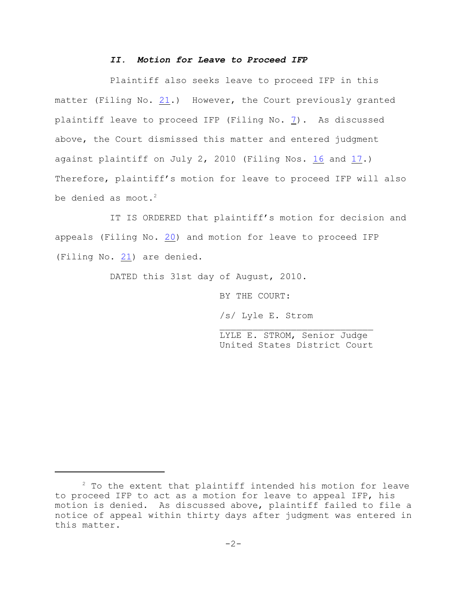## *II. Motion for Leave to Proceed IFP*

Plaintiff also seeks leave to proceed IFP in this matter (Filing No.  $21.$ ) However, the Court previously granted plaintiff leave to proceed IFP (Filing No. [7](https://ecf.ned.uscourts.gov/doc1/11311983859)). As discussed above, the Court dismissed this matter and entered judgment against plaintiff on July 2, 2010 (Filing Nos.  $16$  and  $17$ .) Therefore, plaintiff's motion for leave to proceed IFP will also be denied as moot. $2$ 

IT IS ORDERED that plaintiff's motion for decision and appeals (Filing No. [20](https://ecf.ned.uscourts.gov/doc1/11312085083)) and motion for leave to proceed IFP (Filing No. [21](https://ecf.ned.uscourts.gov/doc1/11312085098)) are denied.

DATED this 31st day of August, 2010.

BY THE COURT:

/s/ Lyle E. Strom

LYLE E. STROM, Senior Judge United States District Court

 $2$  To the extent that plaintiff intended his motion for leave to proceed IFP to act as a motion for leave to appeal IFP, his motion is denied. As discussed above, plaintiff failed to file a notice of appeal within thirty days after judgment was entered in this matter.